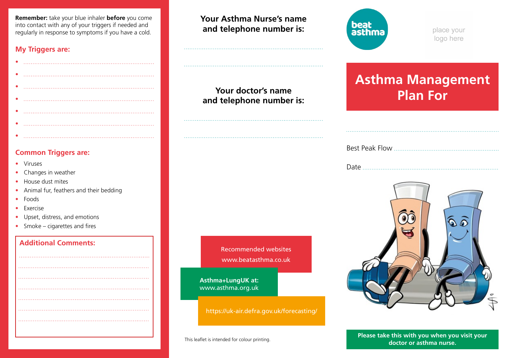**Remember:** take your blue inhaler **before** you come into contact with any of your triggers if needed and regularly in response to symptoms if you have a cold.

#### **My Triggers are:**

| . . |  |
|-----|--|
|     |  |
|     |  |
|     |  |
|     |  |
|     |  |

#### **Common Triggers are:**

• Viruses

•

- Changes in weather
- House dust mites
- Animal fur, feathers and their bedding
- Foods

 I I I I I I

- Exercise
- Upset, distress, and emotions
- Smoke cigarettes and fires

### **Additional Comments:**

**Your Asthma Nurse's name and telephone number is:**

**and telephone number is:**

**Your doctor's name** 

Recommended websites www.beatasthma.co.uk

**Asthma+LungUK at:** www.asthma.org.uk

https://uk-air.defra.gov.uk/forecasting/



place your logo here

# **Asthma Management Plan For**

|--|--|

Date



This leaflet is intended for colour printing. **Please take this with you when you visit your doctor or asthma nurse.**